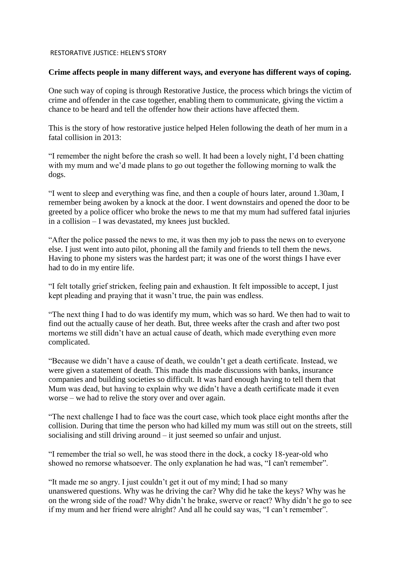## RESTORATIVE JUSTICE: HELEN'S STORY

## **Crime affects people in many different ways, and everyone has different ways of coping.**

One such way of coping is through Restorative Justice, the process which brings the victim of crime and offender in the case together, enabling them to communicate, giving the victim a chance to be heard and tell the offender how their actions have affected them.

This is the story of how restorative justice helped Helen following the death of her mum in a fatal collision in 2013:

"I remember the night before the crash so well. It had been a lovely night, I'd been chatting with my mum and we'd made plans to go out together the following morning to walk the dogs.

"I went to sleep and everything was fine, and then a couple of hours later, around 1.30am, I remember being awoken by a knock at the door. I went downstairs and opened the door to be greeted by a police officer who broke the news to me that my mum had suffered fatal injuries in a collision – I was devastated, my knees just buckled.

"After the police passed the news to me, it was then my job to pass the news on to everyone else. I just went into auto pilot, phoning all the family and friends to tell them the news. Having to phone my sisters was the hardest part; it was one of the worst things I have ever had to do in my entire life.

"I felt totally grief stricken, feeling pain and exhaustion. It felt impossible to accept, I just kept pleading and praying that it wasn't true, the pain was endless.

"The next thing I had to do was identify my mum, which was so hard. We then had to wait to find out the actually cause of her death. But, three weeks after the crash and after two post mortems we still didn't have an actual cause of death, which made everything even more complicated.

"Because we didn't have a cause of death, we couldn't get a death certificate. Instead, we were given a statement of death. This made this made discussions with banks, insurance companies and building societies so difficult. It was hard enough having to tell them that Mum was dead, but having to explain why we didn't have a death certificate made it even worse – we had to relive the story over and over again.

"The next challenge I had to face was the court case, which took place eight months after the collision. During that time the person who had killed my mum was still out on the streets, still socialising and still driving around – it just seemed so unfair and unjust.

"I remember the trial so well, he was stood there in the dock, a cocky 18-year-old who showed no remorse whatsoever. The only explanation he had was, "I can't remember".

"It made me so angry. I just couldn't get it out of my mind; I had so many unanswered questions. Why was he driving the car? Why did he take the keys? Why was he on the wrong side of the road? Why didn't he brake, swerve or react? Why didn't he go to see if my mum and her friend were alright? And all he could say was, "I can't remember".